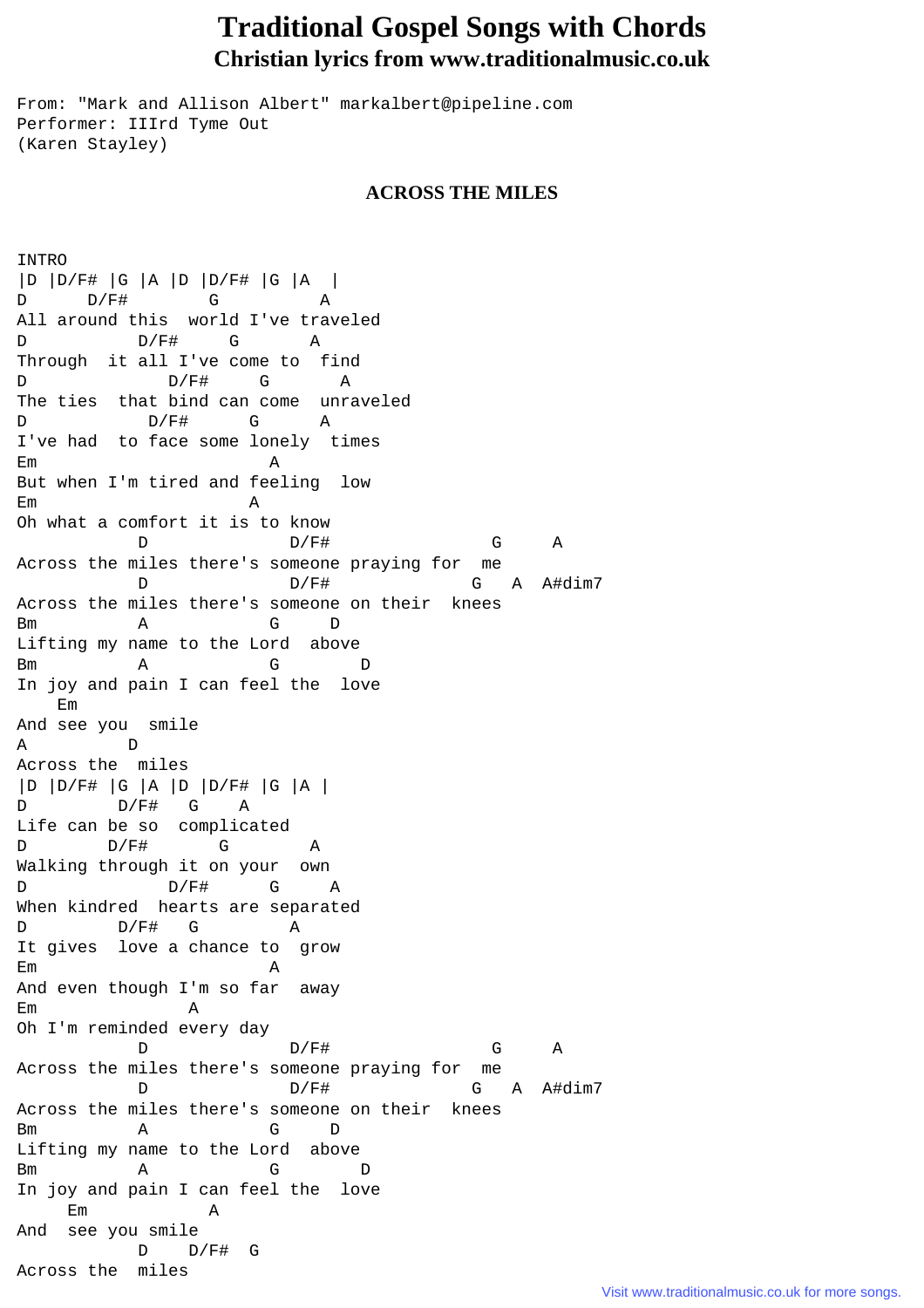## **Traditional Gospel Songs with Chords Christian lyrics from www.traditionalmusic.co.uk**

From: "Mark and Allison Albert" markalbert@pipeline.com Performer: IIIrd Tyme Out (Karen Stayley)

## **ACROSS THE MILES**

INTRO |D |D/F# |G |A |D |D/F# |G |A | D D/F# G A All around this world I've traveled D D/F# G A Through it all I've come to find D D/F# G A The ties that bind can come unraveled D  $D/F#$  G A I've had to face some lonely times Em A But when I'm tired and feeling low Em A Oh what a comfort it is to know D D/F# G A Across the miles there's someone praying for me D D/F# G A A#dim7 Across the miles there's someone on their knees Bm A G D Lifting my name to the Lord above Bm A G D In joy and pain I can feel the love Em And see you smile A D Across the miles |D |D/F# |G |A |D |D/F# |G |A | D D/F# G A Life can be so complicated D D/F# G A Walking through it on your own D D/F# G A When kindred hearts are separated D  $D/F\#$  G A It gives love a chance to grow Em A And even though I'm so far away Em A Oh I'm reminded every day D D/F# G A Across the miles there's someone praying for me D D/F# G A A#dim7 Across the miles there's someone on their knees Bm A G D Lifting my name to the Lord above Bm A G D In joy and pain I can feel the love Em A And see you smile  $D$   $D/F#$  G Across the miles